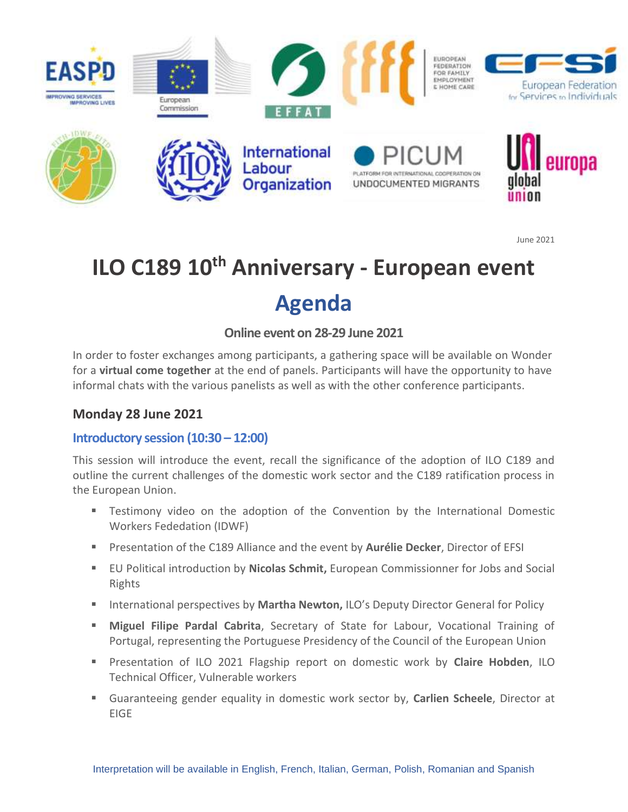

June 2021

# **ILO C189 10th Anniversary - European event Agenda**

# **Online event on 28-29 June 2021**

In order to foster exchanges among participants, a gathering space will be available on Wonder for a **virtual come together** at the end of panels. Participants will have the opportunity to have informal chats with the various panelists as well as with the other conference participants.

## **Monday 28 June 2021**

## **Introductory session (10:30 – 12:00)**

This session will introduce the event, recall the significance of the adoption of ILO C189 and outline the current challenges of the domestic work sector and the C189 ratification process in the European Union.

- Testimony video on the adoption of the Convention by the International Domestic Workers Fededation (IDWF)
- Presentation of the C189 Alliance and the event by **Aurélie Decker**, Director of EFSI
- EU Political introduction by Nicolas Schmit, European Commissionner for Jobs and Social Rights
- **EXECT** International perspectives by **Martha Newton,** ILO's Deputy Director General for Policy
- Miguel Filipe Pardal Cabrita, Secretary of State for Labour, Vocational Training of Portugal, representing the Portuguese Presidency of the Council of the European Union
- Presentation of ILO 2021 Flagship report on domestic work by **Claire Hobden**, ILO Technical Officer, Vulnerable workers
- Guaranteeing gender equality in domestic work sector by, **Carlien Scheele**, Director at EIGE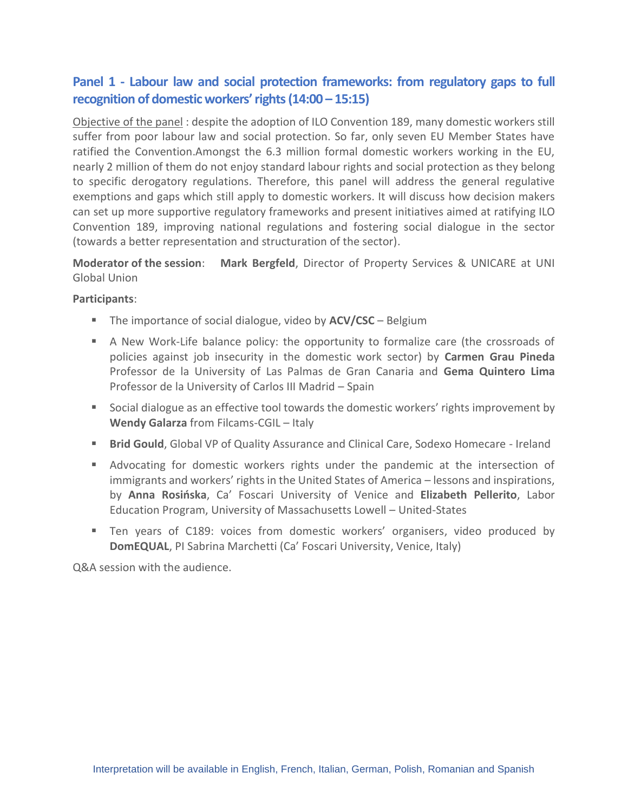# **Panel 1 - Labour law and social protection frameworks: from regulatory gaps to full recognition of domestic workers' rights (14:00 – 15:15)**

Objective of the panel : despite the adoption of ILO Convention 189, many domestic workers still suffer from poor labour law and social protection. So far, only seven EU Member States have ratified the Convention.Amongst the 6.3 million formal domestic workers working in the EU, nearly 2 million of them do not enjoy standard labour rights and social protection as they belong to specific derogatory regulations. Therefore, this panel will address the general regulative exemptions and gaps which still apply to domestic workers. It will discuss how decision makers can set up more supportive regulatory frameworks and present initiatives aimed at ratifying ILO Convention 189, improving national regulations and fostering social dialogue in the sector (towards a better representation and structuration of the sector).

**Moderator of the session**: **Mark Bergfeld**, Director of Property Services & UNICARE at UNI Global Union

#### **Participants**:

- The importance of social dialogue, video by **ACV/CSC** Belgium
- A New Work-Life balance policy: the opportunity to formalize care (the crossroads of policies against job insecurity in the domestic work sector) by **Carmen Grau Pineda** Professor de la University of Las Palmas de Gran Canaria and **Gema Quintero Lima**  Professor de la University of Carlos III Madrid – Spain
- Social dialogue as an effective tool towards the domestic workers' rights improvement by **Wendy Galarza** from Filcams-CGIL – Italy
- **E** Brid Gould, Global VP of Quality Assurance and Clinical Care, Sodexo Homecare Ireland
- Advocating for domestic workers rights under the pandemic at the intersection of immigrants and workers' rights in the United States of America – lessons and inspirations, by **Anna Rosińska**, Ca' Foscari University of Venice and **Elizabeth Pellerito**, Labor Education Program, University of Massachusetts Lowell – United-States
- Ten years of C189: voices from domestic workers' organisers, video produced by **DomEQUAL**, PI Sabrina Marchetti (Ca' Foscari University, Venice, Italy)

Q&A session with the audience.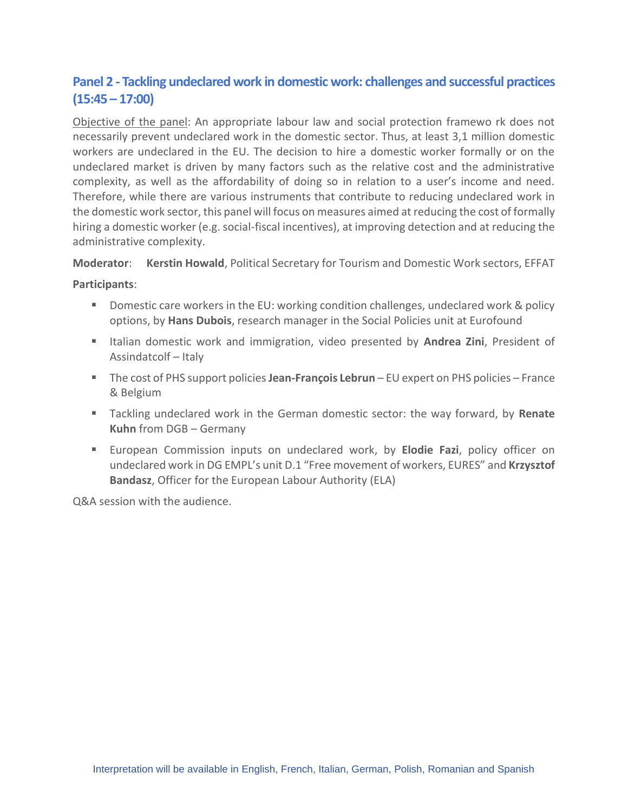# **Panel 2 - Tackling undeclared work in domestic work: challenges and successful practices (15:45 – 17:00)**

Objective of the panel: An appropriate labour law and social protection framewo rk does not necessarily prevent undeclared work in the domestic sector. Thus, at least 3,1 million domestic workers are undeclared in the EU. The decision to hire a domestic worker formally or on the undeclared market is driven by many factors such as the relative cost and the administrative complexity, as well as the affordability of doing so in relation to a user's income and need. Therefore, while there are various instruments that contribute to reducing undeclared work in the domestic work sector, this panel will focus on measures aimed at reducing the cost of formally hiring a domestic worker (e.g. social-fiscal incentives), at improving detection and at reducing the administrative complexity.

**Moderator**: **Kerstin Howald**, Political Secretary for Tourism and Domestic Work sectors, EFFAT

#### **Participants**:

- Domestic care workers in the EU: working condition challenges, undeclared work & policy options, by **Hans Dubois**, research manager in the Social Policies unit at Eurofound
- Italian domestic work and immigration, video presented by **Andrea Zini**, President of Assindatcolf – Italy
- The cost of PHS support policies **Jean-François Lebrun** EU expert on PHS policies France & Belgium
- Tackling undeclared work in the German domestic sector: the way forward, by **Renate Kuhn** from DGB – Germany
- European Commission inputs on undeclared work, by **Elodie Fazi**, policy officer on undeclared work in DG EMPL's unit D.1 "Free movement of workers, EURES" and **Krzysztof Bandasz**, Officer for the European Labour Authority (ELA)

Q&A session with the audience.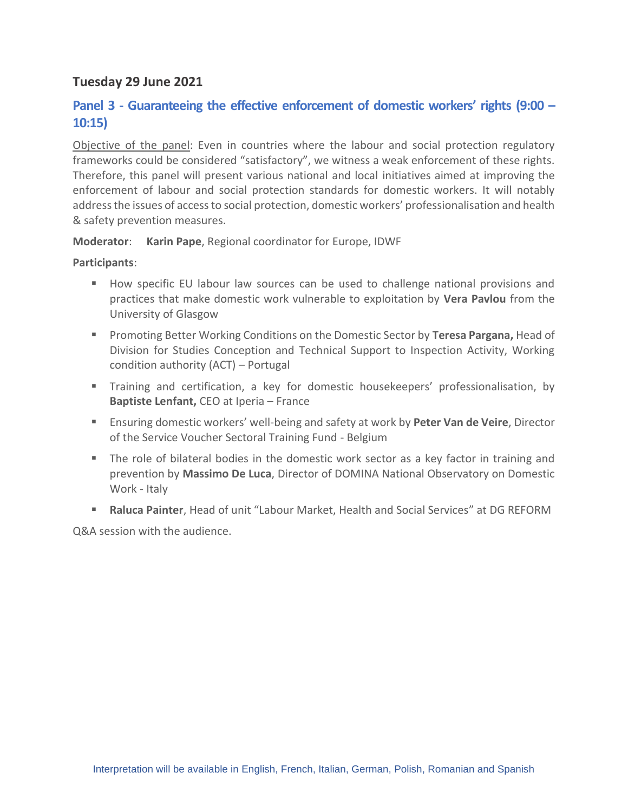## **Tuesday 29 June 2021**

## **Panel 3 - Guaranteeing the effective enforcement of domestic workers' rights (9:00 – 10:15)**

Objective of the panel: Even in countries where the labour and social protection regulatory frameworks could be considered "satisfactory", we witness a weak enforcement of these rights. Therefore, this panel will present various national and local initiatives aimed at improving the enforcement of labour and social protection standards for domestic workers. It will notably address the issues of access to social protection, domestic workers' professionalisation and health & safety prevention measures.

**Moderator**: **Karin Pape**, Regional coordinator for Europe, IDWF

#### **Participants**:

- How specific EU labour law sources can be used to challenge national provisions and practices that make domestic work vulnerable to exploitation by **Vera Pavlou** from the University of Glasgow
- Promoting Better Working Conditions on the Domestic Sector by **Teresa Pargana,** Head of Division for Studies Conception and Technical Support to Inspection Activity, Working condition authority (ACT) – Portugal
- **EXT** Training and certification, a key for domestic housekeepers' professionalisation, by **Baptiste Lenfant, CEO at Iperia – France**
- Ensuring domestic workers' well-being and safety at work by Peter Van de Veire, Director of the Service Voucher Sectoral Training Fund - Belgium
- The role of bilateral bodies in the domestic work sector as a key factor in training and prevention by **Massimo De Luca**, Director of DOMINA National Observatory on Domestic Work - Italy
- **Raluca Painter**, Head of unit "Labour Market, Health and Social Services" at DG REFORM

Q&A session with the audience.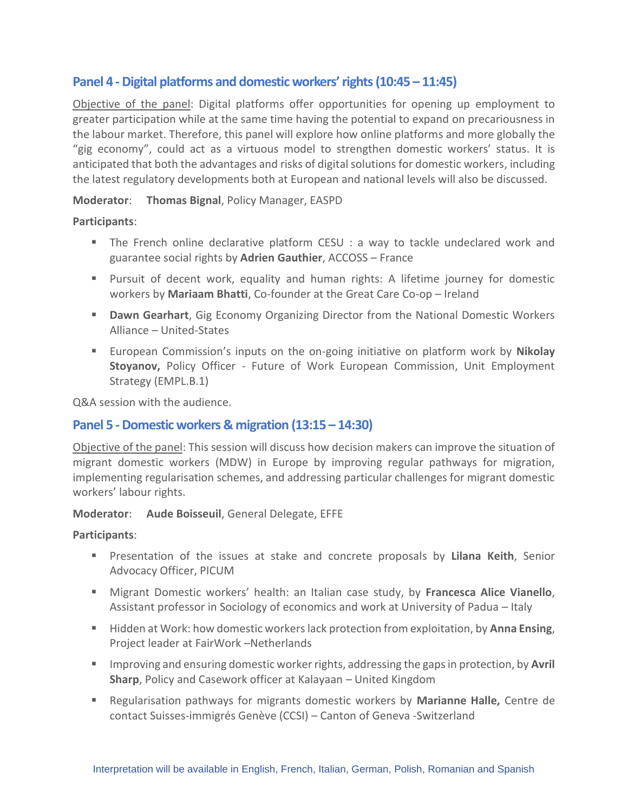## **Panel 4 -Digital platforms and domestic workers' rights (10:45 – 11:45)**

Objective of the panel: Digital platforms offer opportunities for opening up employment to greater participation while at the same time having the potential to expand on precariousness in the labour market. Therefore, this panel will explore how online platforms and more globally the "gig economy", could act as a virtuous model to strengthen domestic workers' status. It is anticipated that both the advantages and risks of digital solutions for domestic workers, including the latest regulatory developments both at European and national levels will also be discussed.

#### **Moderator**: **Thomas Bignal**, Policy Manager, EASPD

#### **Participants**:

- The French online declarative platform CESU : a way to tackle undeclared work and guarantee social rights by **Adrien Gauthier**, ACCOSS – France
- Pursuit of decent work, equality and human rights: A lifetime journey for domestic workers by **Mariaam Bhatti**, Co-founder at the Great Care Co-op – Ireland
- **Dawn Gearhart**, Gig Economy Organizing Director from the National Domestic Workers Alliance – United-States
- European Commission's inputs on the on-going initiative on platform work by **Nikolay Stoyanov,** Policy Officer - Future of Work European Commission, Unit Employment Strategy (EMPL.B.1)

Q&A session with the audience.

## **Panel 5 -Domestic workers & migration (13:15 – 14:30)**

Objective of the panel: This session will discuss how decision makers can improve the situation of migrant domestic workers (MDW) in Europe by improving regular pathways for migration, implementing regularisation schemes, and addressing particular challenges for migrant domestic workers' labour rights.

#### **Moderator**: **Aude Boisseuil**, General Delegate, EFFE

## **Participants**:

- Presentation of the issues at stake and concrete proposals by **Lilana Keith**, Senior Advocacy Officer, PICUM
- Migrant Domestic workers' health: an Italian case study, by **Francesca Alice Vianello**, Assistant professor in Sociology of economics and work at University of Padua – Italy
- Hidden at Work: how domestic workers lack protection from exploitation, by **Anna Ensing**, Project leader at FairWork –Netherlands
- Improving and ensuring domestic worker rights, addressing the gaps in protection, by **Avril Sharp**, Policy and Casework officer at Kalayaan – United Kingdom
- Regularisation pathways for migrants domestic workers by **Marianne Halle,** Centre de contact Suisses-immigrés Genève (CCSI) – Canton of Geneva -Switzerland